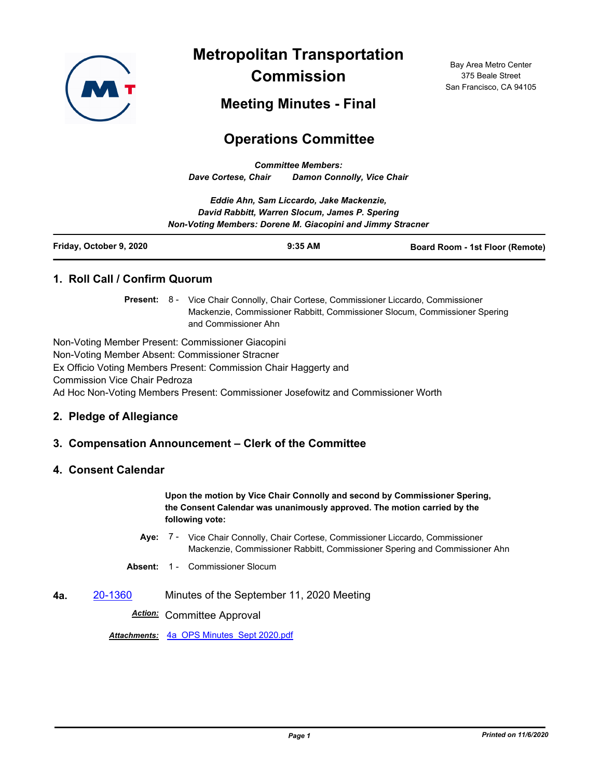

**Metropolitan Transportation Commission**

Bay Area Metro Center 375 Beale Street San Francisco, CA 94105

**Meeting Minutes - Final**

# **Operations Committee**

*Committee Members: Dave Cortese, Chair Damon Connolly, Vice Chair*

|                         | Eddie Ahn, Sam Liccardo, Jake Mackenzie,                   |                                        |
|-------------------------|------------------------------------------------------------|----------------------------------------|
|                         | David Rabbitt, Warren Slocum, James P. Spering             |                                        |
|                         | Non-Voting Members: Dorene M. Giacopini and Jimmy Stracner |                                        |
| Friday, October 9, 2020 | $9:35$ AM                                                  | <b>Board Room - 1st Floor (Remote)</b> |

## **1. Roll Call / Confirm Quorum**

Present: 8 - Vice Chair Connolly, Chair Cortese, Commissioner Liccardo, Commissioner Mackenzie, Commissioner Rabbitt, Commissioner Slocum, Commissioner Spering and Commissioner Ahn

Non-Voting Member Present: Commissioner Giacopini Non-Voting Member Absent: Commissioner Stracner Ex Officio Voting Members Present: Commission Chair Haggerty and Commission Vice Chair Pedroza Ad Hoc Non-Voting Members Present: Commissioner Josefowitz and Commissioner Worth

#### **2. Pledge of Allegiance**

## **3. Compensation Announcement – Clerk of the Committee**

#### **4. Consent Calendar**

**Upon the motion by Vice Chair Connolly and second by Commissioner Spering, the Consent Calendar was unanimously approved. The motion carried by the following vote:**

- Aye: 7 Vice Chair Connolly, Chair Cortese, Commissioner Liccardo, Commissioner Mackenzie, Commissioner Rabbitt, Commissioner Spering and Commissioner Ahn
- **Absent:** 1 Commissioner Slocum
- **4a.** [20-1360](http://mtc.legistar.com/gateway.aspx?m=l&id=/matter.aspx?key=21225) Minutes of the September 11, 2020 Meeting

*Action:* Committee Approval

*Attachments:* [4a\\_OPS Minutes\\_Sept 2020.pdf](http://mtc.legistar.com/gateway.aspx?M=F&ID=1313b272-14c6-4dc2-9955-678ea97e2fac.pdf)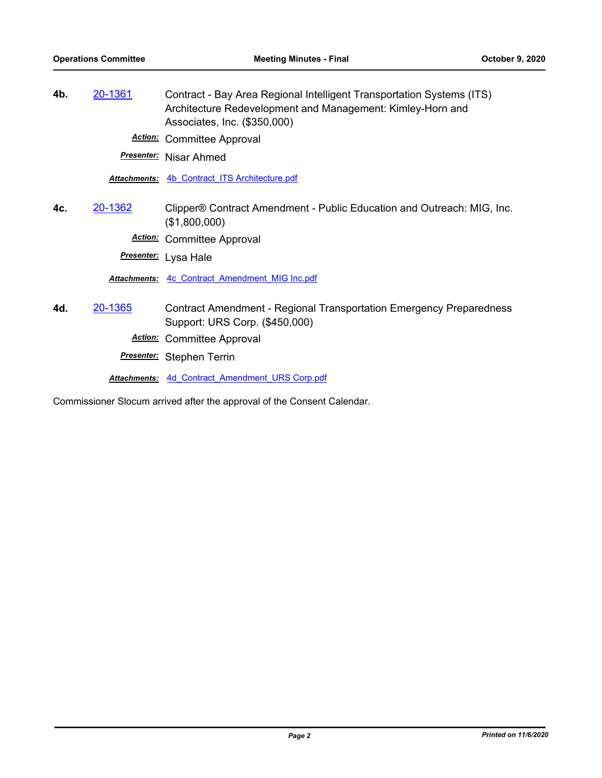**4b.** [20-1361](http://mtc.legistar.com/gateway.aspx?m=l&id=/matter.aspx?key=21226) Contract - Bay Area Regional Intelligent Transportation Systems (ITS) Architecture Redevelopment and Management: Kimley-Horn and Associates, Inc. (\$350,000)

*Action:* Committee Approval

*Presenter:* Nisar Ahmed

*Attachments:* [4b\\_Contract\\_ITS Architecture.pdf](http://mtc.legistar.com/gateway.aspx?M=F&ID=3d33a7ad-1a7a-4abe-b6c2-dac969ad62bd.pdf)

**4c.** [20-1362](http://mtc.legistar.com/gateway.aspx?m=l&id=/matter.aspx?key=21227) Clipper® Contract Amendment - Public Education and Outreach: MIG, Inc. (\$1,800,000)

*Action:* Committee Approval

*Presenter:* Lysa Hale

*Attachments:* [4c\\_Contract\\_Amendment\\_MIG Inc.pdf](http://mtc.legistar.com/gateway.aspx?M=F&ID=a6859170-2b24-4346-9884-d0ff43b24744.pdf)

**4d.** [20-1365](http://mtc.legistar.com/gateway.aspx?m=l&id=/matter.aspx?key=21230) Contract Amendment - Regional Transportation Emergency Preparedness Support: URS Corp. (\$450,000)

*Action:* Committee Approval

*Presenter:* Stephen Terrin

*Attachments:* [4d\\_Contract\\_Amendment\\_URS Corp.pdf](http://mtc.legistar.com/gateway.aspx?M=F&ID=7da6fb2d-6f7c-4a36-965e-3fb894d1b742.pdf)

Commissioner Slocum arrived after the approval of the Consent Calendar.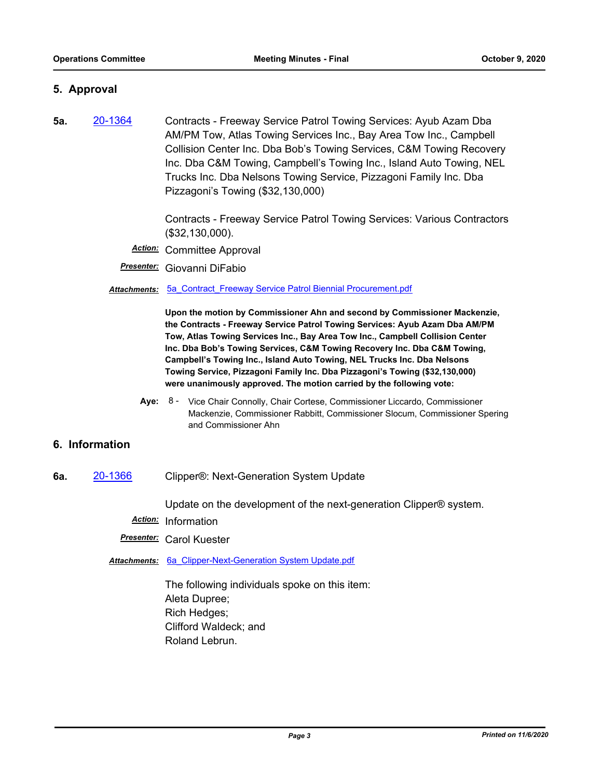## **5. Approval**

**5a.** [20-1364](http://mtc.legistar.com/gateway.aspx?m=l&id=/matter.aspx?key=21229) Contracts - Freeway Service Patrol Towing Services: Ayub Azam Dba AM/PM Tow, Atlas Towing Services Inc., Bay Area Tow Inc., Campbell Collision Center Inc. Dba Bob's Towing Services, C&M Towing Recovery Inc. Dba C&M Towing, Campbell's Towing Inc., Island Auto Towing, NEL Trucks Inc. Dba Nelsons Towing Service, Pizzagoni Family Inc. Dba Pizzagoni's Towing (\$32,130,000)

> Contracts - Freeway Service Patrol Towing Services: Various Contractors (\$32,130,000).

- *Action:* Committee Approval
- *Presenter:* Giovanni DiFabio

**Attachments: 5a Contract Freeway Service Patrol Biennial Procurement.pdf** 

**Upon the motion by Commissioner Ahn and second by Commissioner Mackenzie, the Contracts - Freeway Service Patrol Towing Services: Ayub Azam Dba AM/PM Tow, Atlas Towing Services Inc., Bay Area Tow Inc., Campbell Collision Center Inc. Dba Bob's Towing Services, C&M Towing Recovery Inc. Dba C&M Towing, Campbell's Towing Inc., Island Auto Towing, NEL Trucks Inc. Dba Nelsons Towing Service, Pizzagoni Family Inc. Dba Pizzagoni's Towing (\$32,130,000) were unanimously approved. The motion carried by the following vote:**

Aye: 8 - Vice Chair Connolly, Chair Cortese, Commissioner Liccardo, Commissioner Mackenzie, Commissioner Rabbitt, Commissioner Slocum, Commissioner Spering and Commissioner Ahn

## **6. Information**

**6a.** [20-1366](http://mtc.legistar.com/gateway.aspx?m=l&id=/matter.aspx?key=21231) Clipper®: Next-Generation System Update

Update on the development of the next-generation Clipper® system.

*Action:* Information

*Presenter:* Carol Kuester

*Attachments:* [6a\\_Clipper-Next-Generation System Update.pdf](http://mtc.legistar.com/gateway.aspx?M=F&ID=8a741d4c-3fa4-452d-913f-18d6d5fe0476.pdf)

The following individuals spoke on this item: Aleta Dupree; Rich Hedges; Clifford Waldeck; and Roland Lebrun.